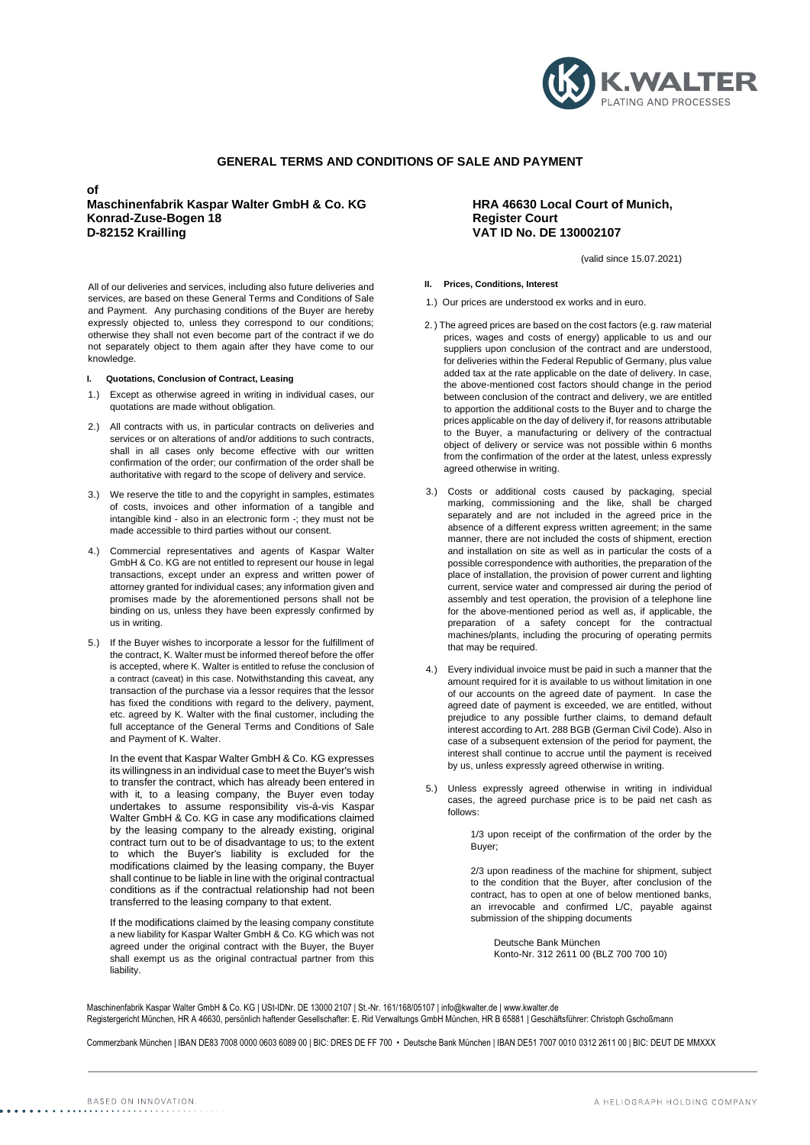

# **GENERAL TERMS AND CONDITIONS OF SALE AND PAYMENT**

**of**

# **Maschinenfabrik Kaspar Walter GmbH & Co. KG HRA 46630 Local Court of Munich, Konrad-Zuse-Bogen 18 D-82152 Krailling VAT ID No. DE 130002107**

All of our deliveries and services, including also future deliveries and services, are based on these General Terms and Conditions of Sale and Payment. Any purchasing conditions of the Buyer are hereby expressly objected to, unless they correspond to our conditions; otherwise they shall not even become part of the contract if we do not separately object to them again after they have come to our knowledge.

# **I. Quotations, Conclusion of Contract, Leasing**

- 1.) Except as otherwise agreed in writing in individual cases, our quotations are made without obligation.
- 2.) All contracts with us, in particular contracts on deliveries and services or on alterations of and/or additions to such contracts, shall in all cases only become effective with our written confirmation of the order; our confirmation of the order shall be authoritative with regard to the scope of delivery and service.
- 3.) We reserve the title to and the copyright in samples, estimates of costs, invoices and other information of a tangible and intangible kind - also in an electronic form -; they must not be made accessible to third parties without our consent.
- 4.) Commercial representatives and agents of Kaspar Walter GmbH & Co. KG are not entitled to represent our house in legal transactions, except under an express and written power of attorney granted for individual cases; any information given and promises made by the aforementioned persons shall not be binding on us, unless they have been expressly confirmed by us in writing.
- 5.) If the Buyer wishes to incorporate a lessor for the fulfillment of the contract, K. Walter must be informed thereof before the offer is accepted, where K. Walter is entitled to refuse the conclusion of a contract (caveat) in this case. Notwithstanding this caveat, any transaction of the purchase via a lessor requires that the lessor has fixed the conditions with regard to the delivery, payment, etc. agreed by K. Walter with the final customer, including the full acceptance of the General Terms and Conditions of Sale and Payment of K. Walter.

In the event that Kaspar Walter GmbH & Co. KG expresses its willingness in an individual case to meet the Buyer's wish to transfer the contract, which has already been entered in with it, to a leasing company, the Buyer even today undertakes to assume responsibility vis-á-vis Kaspar Walter GmbH & Co. KG in case any modifications claimed by the leasing company to the already existing, original contract turn out to be of disadvantage to us; to the extent to which the Buyer's liability is excluded for the modifications claimed by the leasing company, the Buyer shall continue to be liable in line with the original contractual conditions as if the contractual relationship had not been transferred to the leasing company to that extent.

If the modifications claimed by the leasing company constitute a new liability for Kaspar Walter GmbH & Co. KG which was not agreed under the original contract with the Buyer, the Buyer shall exempt us as the original contractual partner from this liability.

(valid since 15.07.2021)

# **II. Prices, Conditions, Interest**

- 1.) Our prices are understood ex works and in euro.
- 2. ) The agreed prices are based on the cost factors (e.g. raw material prices, wages and costs of energy) applicable to us and our suppliers upon conclusion of the contract and are understood, for deliveries within the Federal Republic of Germany, plus value added tax at the rate applicable on the date of delivery. In case, the above-mentioned cost factors should change in the period between conclusion of the contract and delivery, we are entitled to apportion the additional costs to the Buyer and to charge the prices applicable on the day of delivery if, for reasons attributable to the Buyer, a manufacturing or delivery of the contractual object of delivery or service was not possible within 6 months from the confirmation of the order at the latest, unless expressly agreed otherwise in writing.
- 3.) Costs or additional costs caused by packaging, special marking, commissioning and the like, shall be charged separately and are not included in the agreed price in the absence of a different express written agreement; in the same manner, there are not included the costs of shipment, erection and installation on site as well as in particular the costs of a possible correspondence with authorities, the preparation of the place of installation, the provision of power current and lighting current, service water and compressed air during the period of assembly and test operation, the provision of a telephone line for the above-mentioned period as well as, if applicable, the preparation of a safety concept for the contractual machines/plants, including the procuring of operating permits that may be required.
- 4.) Every individual invoice must be paid in such a manner that the amount required for it is available to us without limitation in one of our accounts on the agreed date of payment. In case the agreed date of payment is exceeded, we are entitled, without prejudice to any possible further claims, to demand default interest according to Art. 288 BGB (German Civil Code). Also in case of a subsequent extension of the period for payment, the interest shall continue to accrue until the payment is received by us, unless expressly agreed otherwise in writing.
- 5.) Unless expressly agreed otherwise in writing in individual cases, the agreed purchase price is to be paid net cash as follows:

1/3 upon receipt of the confirmation of the order by the Buyer;

2/3 upon readiness of the machine for shipment, subject to the condition that the Buyer, after conclusion of the contract, has to open at one of below mentioned banks, an irrevocable and confirmed L/C, payable against submission of the shipping documents

Deutsche Bank München Konto-Nr. 312 2611 00 (BLZ 700 700 10)

Maschinenfabrik Kaspar Walter GmbH & Co. KG | USt-IDNr. DE 13000 2107 | St.-Nr. 161/168/05107 | info@kwalter.de [| www.kwalter.de](http://www.kwalter.de/) Registergericht München, HR A 46630, persönlich haftender Gesellschafter: E. Rid Verwaltungs GmbH München, HR B 65881 | Geschäftsführer: Christoph Gschoßmann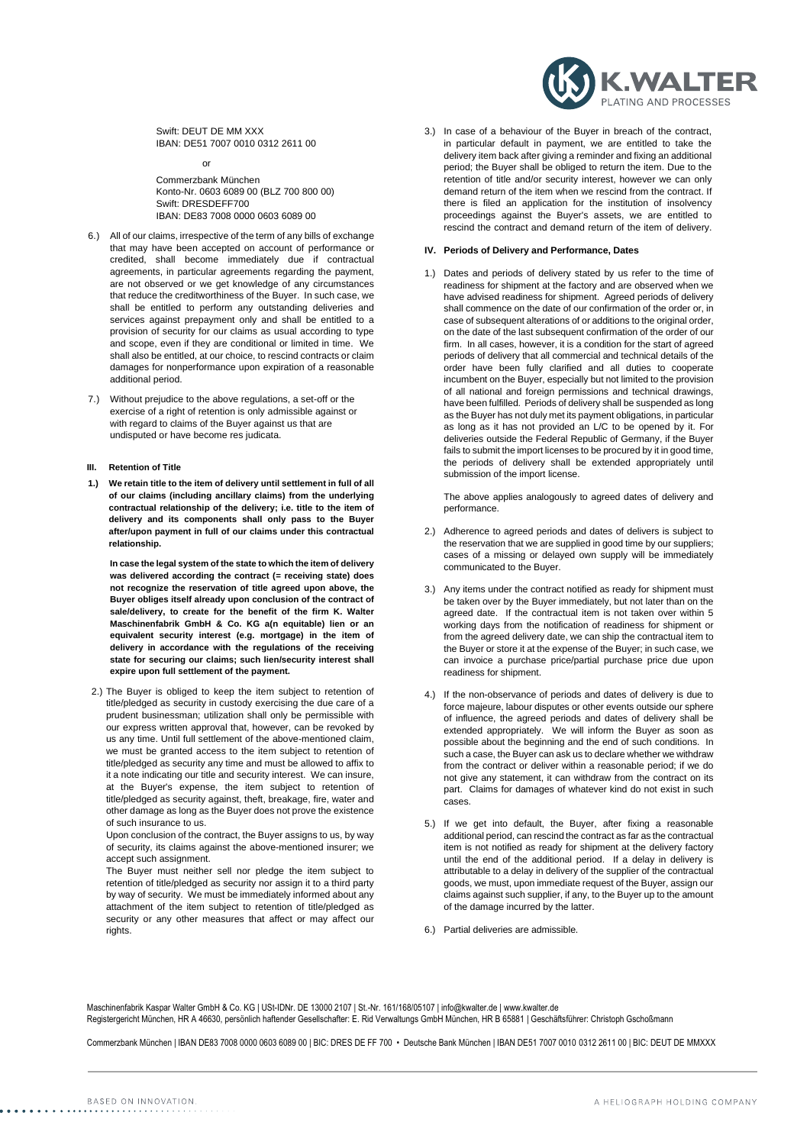Swift: DEUT DE MM XXX IBAN: DE51 7007 0010 0312 2611 00

or

Commerzbank München Konto-Nr. 0603 6089 00 (BLZ 700 800 00) Swift: DRESDEFF700 IBAN: DE83 7008 0000 0603 6089 00

- 6.) All of our claims, irrespective of the term of any bills of exchange that may have been accepted on account of performance or credited, shall become immediately due if contractual agreements, in particular agreements regarding the payment, are not observed or we get knowledge of any circumstances that reduce the creditworthiness of the Buyer. In such case, we shall be entitled to perform any outstanding deliveries and services against prepayment only and shall be entitled to a provision of security for our claims as usual according to type and scope, even if they are conditional or limited in time. We shall also be entitled, at our choice, to rescind contracts or claim damages for nonperformance upon expiration of a reasonable additional period.
- 7.) Without prejudice to the above regulations, a set-off or the exercise of a right of retention is only admissible against or with regard to claims of the Buyer against us that are undisputed or have become res judicata.

#### **III. Retention of Title**

**1.) We retain title to the item of delivery until settlement in full of all of our claims (including ancillary claims) from the underlying contractual relationship of the delivery; i.e. title to the item of delivery and its components shall only pass to the Buyer after/upon payment in full of our claims under this contractual relationship.**

**In case the legal system of the state to which the item of delivery was delivered according the contract (= receiving state) does not recognize the reservation of title agreed upon above, the Buyer obliges itself already upon conclusion of the contract of sale/delivery, to create for the benefit of the firm K. Walter Maschinenfabrik GmbH & Co. KG a(n equitable) lien or an equivalent security interest (e.g. mortgage) in the item of delivery in accordance with the regulations of the receiving state for securing our claims; such lien/security interest shall expire upon full settlement of the payment.**

2.) The Buyer is obliged to keep the item subject to retention of title/pledged as security in custody exercising the due care of a prudent businessman; utilization shall only be permissible with our express written approval that, however, can be revoked by us any time. Until full settlement of the above-mentioned claim, we must be granted access to the item subject to retention of title/pledged as security any time and must be allowed to affix to it a note indicating our title and security interest. We can insure, at the Buyer's expense, the item subject to retention of title/pledged as security against, theft, breakage, fire, water and other damage as long as the Buyer does not prove the existence of such insurance to us.

Upon conclusion of the contract, the Buyer assigns to us, by way of security, its claims against the above-mentioned insurer; we accept such assignment.

The Buyer must neither sell nor pledge the item subject to retention of title/pledged as security nor assign it to a third party by way of security. We must be immediately informed about any attachment of the item subject to retention of title/pledged as security or any other measures that affect or may affect our rights.

3.) In case of a behaviour of the Buyer in breach of the contract, in particular default in payment, we are entitled to take the delivery item back after giving a reminder and fixing an additional period; the Buyer shall be obliged to return the item. Due to the retention of title and/or security interest, however we can only demand return of the item when we rescind from the contract. If there is filed an application for the institution of insolvency proceedings against the Buyer's assets, we are entitled to rescind the contract and demand return of the item of delivery.

**WALTER** 

#### **IV. Periods of Delivery and Performance, Dates**

1.) Dates and periods of delivery stated by us refer to the time of readiness for shipment at the factory and are observed when we have advised readiness for shipment. Agreed periods of delivery shall commence on the date of our confirmation of the order or, in case of subsequent alterations of or additions to the original order, on the date of the last subsequent confirmation of the order of our firm. In all cases, however, it is a condition for the start of agreed periods of delivery that all commercial and technical details of the order have been fully clarified and all duties to cooperate incumbent on the Buyer, especially but not limited to the provision of all national and foreign permissions and technical drawings, have been fulfilled. Periods of delivery shall be suspended as long as the Buyer has not duly met its payment obligations, in particular as long as it has not provided an L/C to be opened by it. For deliveries outside the Federal Republic of Germany, if the Buyer fails to submit the import licenses to be procured by it in good time, the periods of delivery shall be extended appropriately until submission of the import license.

The above applies analogously to agreed dates of delivery and performance.

- 2.) Adherence to agreed periods and dates of delivers is subject to the reservation that we are supplied in good time by our suppliers; cases of a missing or delayed own supply will be immediately communicated to the Buyer.
- 3.) Any items under the contract notified as ready for shipment must be taken over by the Buyer immediately, but not later than on the agreed date. If the contractual item is not taken over within 5 working days from the notification of readiness for shipment or from the agreed delivery date, we can ship the contractual item to the Buyer or store it at the expense of the Buyer; in such case, we can invoice a purchase price/partial purchase price due upon readiness for shipment.
- 4.) If the non-observance of periods and dates of delivery is due to force majeure, labour disputes or other events outside our sphere of influence, the agreed periods and dates of delivery shall be extended appropriately. We will inform the Buyer as soon as possible about the beginning and the end of such conditions. In such a case, the Buyer can ask us to declare whether we withdraw from the contract or deliver within a reasonable period; if we do not give any statement, it can withdraw from the contract on its part. Claims for damages of whatever kind do not exist in such cases.
- 5.) If we get into default, the Buyer, after fixing a reasonable additional period, can rescind the contract as far as the contractual item is not notified as ready for shipment at the delivery factory until the end of the additional period. If a delay in delivery is attributable to a delay in delivery of the supplier of the contractual goods, we must, upon immediate request of the Buyer, assign our claims against such supplier, if any, to the Buyer up to the amount of the damage incurred by the latter.
- 6.) Partial deliveries are admissible.

Maschinenfabrik Kaspar Walter GmbH & Co. KG | USt-IDNr. DE 13000 2107 | St.-Nr. 161/168/05107 | info@kwalter.de [| www.kwalter.de](http://www.kwalter.de/) Registergericht München, HR A 46630, persönlich haftender Gesellschafter: E. Rid Verwaltungs GmbH München, HR B 65881 | Geschäftsführer: Christoph Gschoßmann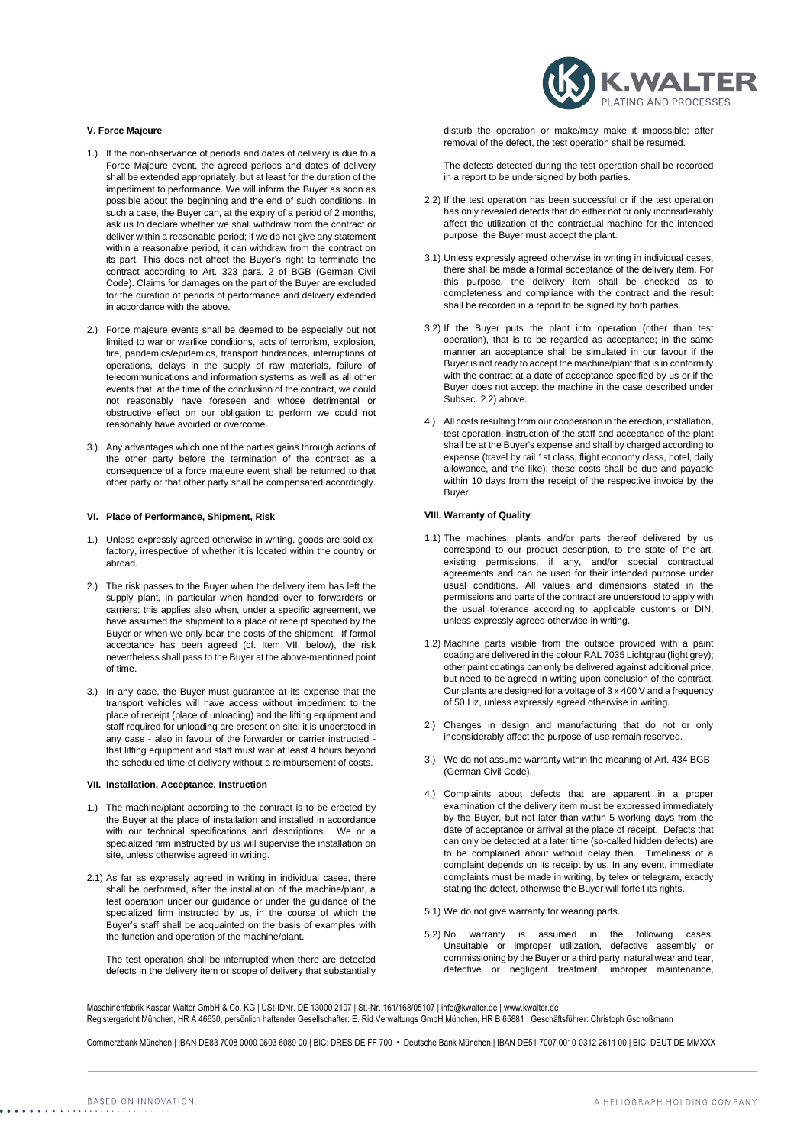

# **V. Force Majeure**

- 1.) If the non-observance of periods and dates of delivery is due to a Force Majeure event, the agreed periods and dates of delivery shall be extended appropriately, but at least for the duration of the impediment to performance. We will inform the Buyer as soon as possible about the beginning and the end of such conditions. In such a case, the Buyer can, at the expiry of a period of 2 months, ask us to declare whether we shall withdraw from the contract or deliver within a reasonable period; if we do not give any statement within a reasonable period, it can withdraw from the contract on its part. This does not affect the Buyer's right to terminate the contract according to Art. 323 para. 2 of BGB (German Civil Code). Claims for damages on the part of the Buyer are excluded for the duration of periods of performance and delivery extended in accordance with the above.
- 2.) Force majeure events shall be deemed to be especially but not limited to war or warlike conditions, acts of terrorism, explosion fire, pandemics/epidemics, transport hindrances, interruptions of operations, delays in the supply of raw materials, failure of telecommunications and information systems as well as all other events that, at the time of the conclusion of the contract, we could not reasonably have foreseen and whose detrimental or obstructive effect on our obligation to perform we could not reasonably have avoided or overcome.
- 3.) Any advantages which one of the parties gains through actions of the other party before the termination of the contract as a consequence of a force majeure event shall be returned to that other party or that other party shall be compensated accordingly.

#### **VI. Place of Performance, Shipment, Risk**

- 1.) Unless expressly agreed otherwise in writing, goods are sold exfactory, irrespective of whether it is located within the country or abroad.
- 2.) The risk passes to the Buyer when the delivery item has left the supply plant, in particular when handed over to forwarders or carriers; this applies also when, under a specific agreement, we have assumed the shipment to a place of receipt specified by the Buyer or when we only bear the costs of the shipment. If formal acceptance has been agreed (cf. Item VII. below), the risk nevertheless shall pass to the Buyer at the above-mentioned point of time.
- 3.) In any case, the Buyer must guarantee at its expense that the transport vehicles will have access without impediment to the place of receipt (place of unloading) and the lifting equipment and staff required for unloading are present on site; it is understood in any case - also in favour of the forwarder or carrier instructed that lifting equipment and staff must wait at least 4 hours beyond the scheduled time of delivery without a reimbursement of costs.

#### **VII. Installation, Acceptance, Instruction**

- 1.) The machine/plant according to the contract is to be erected by the Buyer at the place of installation and installed in accordance with our technical specifications and descriptions. We or a specialized firm instructed by us will supervise the installation on site, unless otherwise agreed in writing.
- 2.1) As far as expressly agreed in writing in individual cases, there shall be performed, after the installation of the machine/plant, a test operation under our guidance or under the guidance of the specialized firm instructed by us, in the course of which the Buyer's staff shall be acquainted on the basis of examples with the function and operation of the machine/plant.

The test operation shall be interrupted when there are detected defects in the delivery item or scope of delivery that substantially disturb the operation or make/may make it impossible; after removal of the defect, the test operation shall be resumed.

The defects detected during the test operation shall be recorded in a report to be undersigned by both parties.

- 2.2) If the test operation has been successful or if the test operation has only revealed defects that do either not or only inconsiderably affect the utilization of the contractual machine for the intended purpose, the Buyer must accept the plant.
- 3.1) Unless expressly agreed otherwise in writing in individual cases, there shall be made a formal acceptance of the delivery item. For this purpose, the delivery item shall be checked as to completeness and compliance with the contract and the result shall be recorded in a report to be signed by both parties.
- 3.2) If the Buyer puts the plant into operation (other than test operation), that is to be regarded as acceptance; in the same manner an acceptance shall be simulated in our favour if the Buyer is not ready to accept the machine/plant that is in conformity with the contract at a date of acceptance specified by us or if the Buyer does not accept the machine in the case described under Subsec. 2.2) above.
- 4.) All costs resulting from our cooperation in the erection, installation, test operation, instruction of the staff and acceptance of the plant shall be at the Buyer's expense and shall by charged according to expense (travel by rail 1st class, flight economy class, hotel, daily allowance, and the like); these costs shall be due and payable within 10 days from the receipt of the respective invoice by the Buyer.

#### **VIII. Warranty of Quality**

- 1.1) The machines, plants and/or parts thereof delivered by us correspond to our product description, to the state of the art, existing permissions, if any, and/or special contractual agreements and can be used for their intended purpose under usual conditions. All values and dimensions stated in the permissions and parts of the contract are understood to apply with the usual tolerance according to applicable customs or DIN, unless expressly agreed otherwise in writing.
- 1.2) Machine parts visible from the outside provided with a paint coating are delivered in the colour RAL 7035 Lichtgrau (light grey); other paint coatings can only be delivered against additional price, but need to be agreed in writing upon conclusion of the contract. Our plants are designed for a voltage of 3 x 400 V and a frequency of 50 Hz, unless expressly agreed otherwise in writing.
- 2.) Changes in design and manufacturing that do not or only inconsiderably affect the purpose of use remain reserved.
- 3.) We do not assume warranty within the meaning of Art. 434 BGB (German Civil Code).
- 4.) Complaints about defects that are apparent in a proper examination of the delivery item must be expressed immediately by the Buyer, but not later than within 5 working days from the date of acceptance or arrival at the place of receipt. Defects that can only be detected at a later time (so-called hidden defects) are to be complained about without delay then. Timeliness of a complaint depends on its receipt by us. In any event, immediate complaints must be made in writing, by telex or telegram, exactly stating the defect, otherwise the Buyer will forfeit its rights.
- 5.1) We do not give warranty for wearing parts.
- 5.2) No warranty is assumed in the following cases: Unsuitable or improper utilization, defective assembly or commissioning by the Buyer or a third party, natural wear and tear, defective or negligent treatment, improper maintenance,

Maschinenfabrik Kaspar Walter GmbH & Co. KG | USt-IDNr. DE 13000 2107 | St.-Nr. 161/168/05107 | info@kwalter.de [| www.kwalter.de](http://www.kwalter.de/) Registergericht München, HR A 46630, persönlich haftender Gesellschafter: E. Rid Verwaltungs GmbH München, HR B 65881 | Geschäftsführer: Christoph Gschoßmann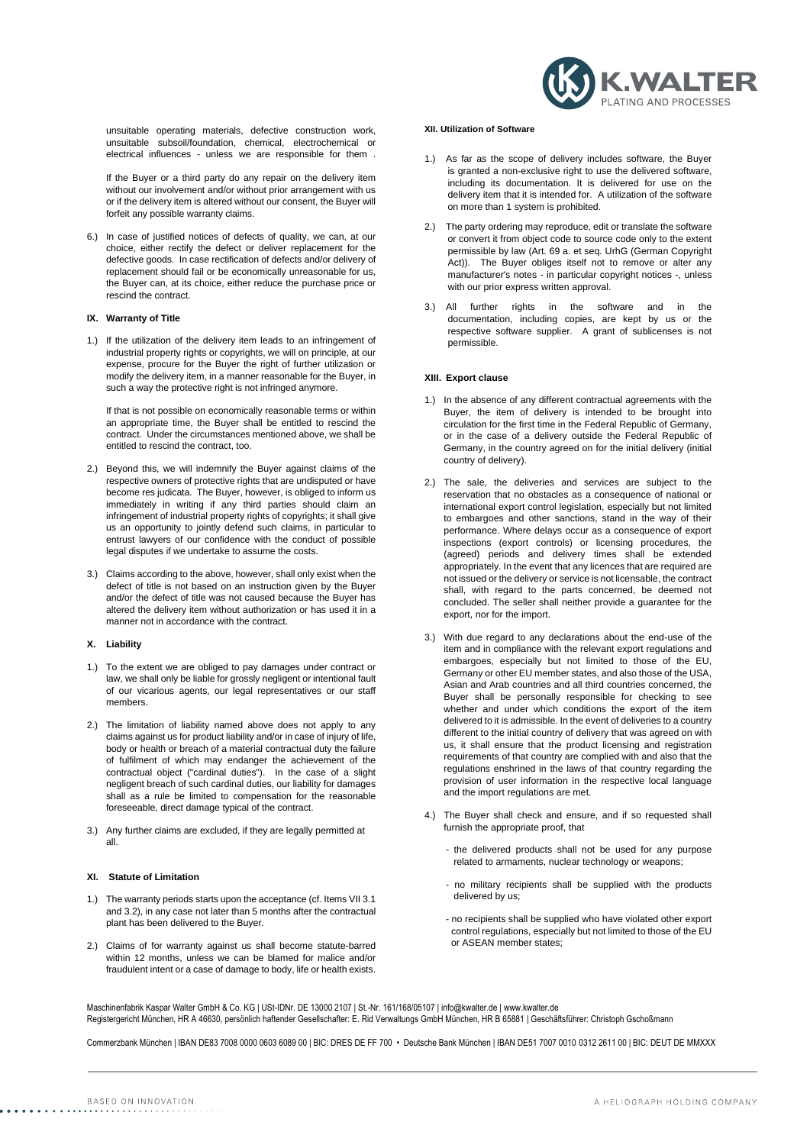unsuitable operating materials, defective construction work, unsuitable subsoil/foundation, chemical, electrochemical or electrical influences - unless we are responsible for them .

If the Buyer or a third party do any repair on the delivery item without our involvement and/or without prior arrangement with us or if the delivery item is altered without our consent, the Buyer will forfeit any possible warranty claims.

6.) In case of justified notices of defects of quality, we can, at our choice, either rectify the defect or deliver replacement for the defective goods. In case rectification of defects and/or delivery of replacement should fail or be economically unreasonable for us, the Buyer can, at its choice, either reduce the purchase price or rescind the contract.

### **IX. Warranty of Title**

1.) If the utilization of the delivery item leads to an infringement of industrial property rights or copyrights, we will on principle, at our expense, procure for the Buyer the right of further utilization or modify the delivery item, in a manner reasonable for the Buyer, in such a way the protective right is not infringed anymore.

If that is not possible on economically reasonable terms or within an appropriate time, the Buyer shall be entitled to rescind the contract. Under the circumstances mentioned above, we shall be entitled to rescind the contract, too.

- 2.) Beyond this, we will indemnify the Buyer against claims of the respective owners of protective rights that are undisputed or have become res judicata. The Buyer, however, is obliged to inform us immediately in writing if any third parties should claim an infringement of industrial property rights of copyrights; it shall give us an opportunity to jointly defend such claims, in particular to entrust lawyers of our confidence with the conduct of possible legal disputes if we undertake to assume the costs.
- 3.) Claims according to the above, however, shall only exist when the defect of title is not based on an instruction given by the Buyer and/or the defect of title was not caused because the Buyer has altered the delivery item without authorization or has used it in a manner not in accordance with the contract.

### **X. Liability**

- 1.) To the extent we are obliged to pay damages under contract or law, we shall only be liable for grossly negligent or intentional fault of our vicarious agents, our legal representatives or our staff members.
- 2.) The limitation of liability named above does not apply to any claims against us for product liability and/or in case of injury of life, body or health or breach of a material contractual duty the failure of fulfilment of which may endanger the achievement of the contractual object ("cardinal duties"). In the case of a slight negligent breach of such cardinal duties, our liability for damages shall as a rule be limited to compensation for the reasonable foreseeable, direct damage typical of the contract.
- 3.) Any further claims are excluded, if they are legally permitted at all.

#### **XI. Statute of Limitation**

- 1.) The warranty periods starts upon the acceptance (cf. Items VII 3.1 and 3.2), in any case not later than 5 months after the contractual plant has been delivered to the Buyer.
- 2.) Claims of for warranty against us shall become statute-barred within 12 months, unless we can be blamed for malice and/or fraudulent intent or a case of damage to body, life or health exists.

# **XII. Utilization of Software**

- 1.) As far as the scope of delivery includes software, the Buyer is granted a non-exclusive right to use the delivered software, including its documentation. It is delivered for use on the delivery item that it is intended for. A utilization of the software on more than 1 system is prohibited.
- 2.) The party ordering may reproduce, edit or translate the software or convert it from object code to source code only to the extent permissible by law (Art. 69 a. et seq. UrhG (German Copyright Act)). The Buyer obliges itself not to remove or alter any manufacturer's notes - in particular copyright notices -, unless with our prior express written approval.
- 3.) All further rights in the software and in the documentation, including copies, are kept by us or the respective software supplier. A grant of sublicenses is not permissible.

## **XIII. Export clause**

- 1.) In the absence of any different contractual agreements with the Buyer, the item of delivery is intended to be brought into circulation for the first time in the Federal Republic of Germany, or in the case of a delivery outside the Federal Republic of Germany, in the country agreed on for the initial delivery (initial country of delivery).
- 2.) The sale, the deliveries and services are subject to the reservation that no obstacles as a consequence of national or international export control legislation, especially but not limited to embargoes and other sanctions, stand in the way of their performance. Where delays occur as a consequence of export inspections (export controls) or licensing procedures, the (agreed) periods and delivery times shall be extended appropriately. In the event that any licences that are required are not issued or the delivery or service is not licensable, the contract shall, with regard to the parts concerned, be deemed not concluded. The seller shall neither provide a guarantee for the export, nor for the import.
- 3.) With due regard to any declarations about the end-use of the item and in compliance with the relevant export regulations and embargoes, especially but not limited to those of the EU, Germany or other EU member states, and also those of the USA, Asian and Arab countries and all third countries concerned, the Buyer shall be personally responsible for checking to see whether and under which conditions the export of the item delivered to it is admissible. In the event of deliveries to a country different to the initial country of delivery that was agreed on with us, it shall ensure that the product licensing and registration requirements of that country are complied with and also that the regulations enshrined in the laws of that country regarding the provision of user information in the respective local language and the import regulations are met.
- 4.) The Buyer shall check and ensure, and if so requested shall furnish the appropriate proof, that
	- the delivered products shall not be used for any purpose related to armaments, nuclear technology or weapons;
	- no military recipients shall be supplied with the products delivered by us;
	- no recipients shall be supplied who have violated other export control regulations, especially but not limited to those of the EU or ASEAN member states;

Maschinenfabrik Kaspar Walter GmbH & Co. KG | USt-IDNr. DE 13000 2107 | St.-Nr. 161/168/05107 | info@kwalter.de [| www.kwalter.de](http://www.kwalter.de/) Registergericht München, HR A 46630, persönlich haftender Gesellschafter: E. Rid Verwaltungs GmbH München, HR B 65881 | Geschäftsführer: Christoph Gschoßmann